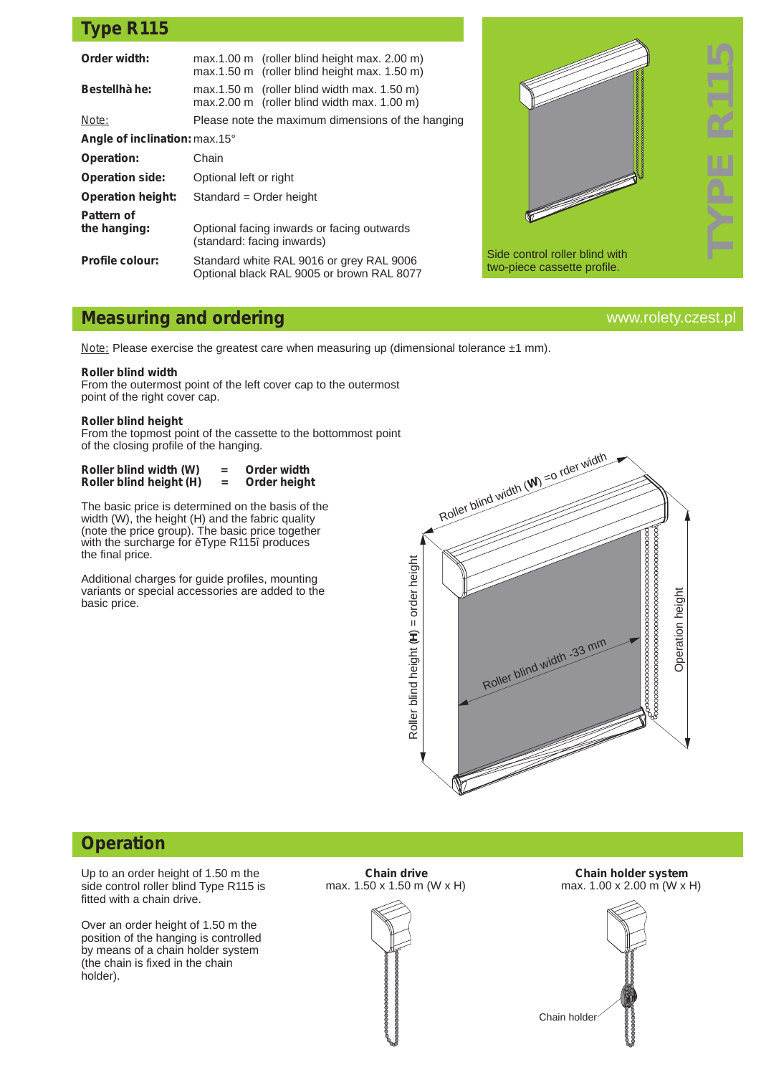## **Type R115**

| Order width:                  | $max.1.00 m$ (roller blind height max. 2.00 m)<br>max.1.50 m (roller blind height max. 1.50 m) |  |
|-------------------------------|------------------------------------------------------------------------------------------------|--|
| <b>Bestellhà he:</b>          | $max.1.50 m$ (roller blind width max. 1.50 m)<br>$max.2.00 m$ (roller blind width max. 1.00 m) |  |
| Note:                         | Please note the maximum dimensions of the hanging                                              |  |
| Angle of inclination: max.15° |                                                                                                |  |
| <b>Operation:</b>             | Chain                                                                                          |  |
| <b>Operation side:</b>        | Optional left or right                                                                         |  |
| <b>Operation height:</b>      | Standard = Order height                                                                        |  |
| Pattern of<br>the hanging:    | Optional facing inwards or facing outwards<br>(standard: facing inwards)                       |  |
| <b>Profile colour:</b>        | Standard white RAL 9016 or grey RAL 9006<br>Optional black RAL 9005 or brown RAL 8077          |  |
|                               |                                                                                                |  |



www.rolety.czest.pl

### **Measuring and ordering**

*Note:* Please exercise the greatest care when measuring up (dimensional tolerance ±1 mm).

#### **Roller blind width**

From the outermost point of the left cover cap to the outermost point of the right cover cap.

#### **Roller blind height**

From the topmost point of the cassette to the bottommost point of the closing profile of the hanging.

| Roller blind width (W)  | = | Order width  |  |
|-------------------------|---|--------------|--|
| Roller blind height (H) | = | Order height |  |

The basic price is determined on the basis of the width (W), the height (H) and the fabric quality (note the price group). The basic price together with the surcharge for Type R115î produces the final price.

Additional charges for guide profiles, mounting variants or special accessories are added to the basic price.



### **Operation**

Up to an order height of 1.50 m the side control roller blind Type R115 is fitted with a chain drive.

Over an order height of 1.50 m the position of the hanging is controlled by means of a chain holder system (the chain is fixed in the chain holder).

**Chain drive** max. 1.50 x 1.50 m (W x H)

**Chain holder system** max. 1.00 x 2.00 m (W x H)

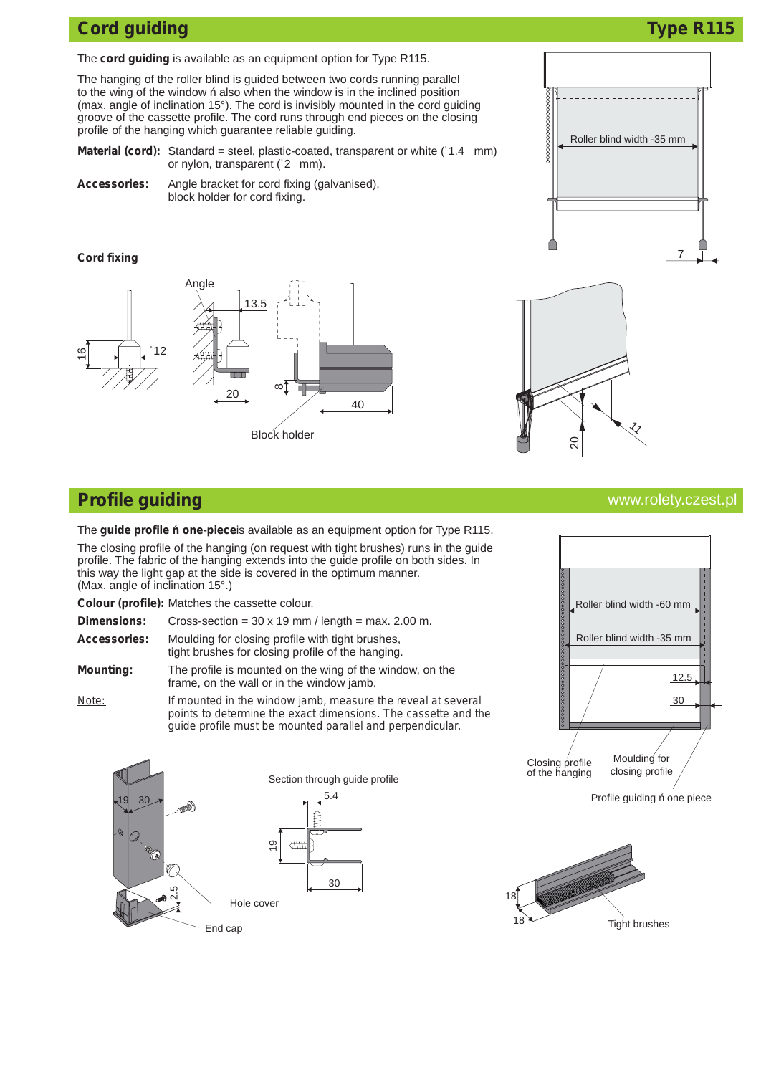## **Cord guiding Cord guiding Cord guiding Cord guiding Cord guiding Cord guiding Cord guiding Cord guiding Cord and Type R115**

7

Roller blind width -35 mm

The **cord guiding** is available as an equipment option for Type R115.

The hanging of the roller blind is guided between two cords running parallel to the wing of the window also when the window is in the inclined position (max. angle of inclination 15°). The cord is invisibly mounted in the cord guiding groove of the cassette profile. The cord runs through end pieces on the closing profile of the hanging which guarantee reliable guiding.

**Material (cord):** Standard = steel, plastic-coated, transparent or white (1.4 mm) or nylon, transparent (˙2 mm).

**Accessories:** Angle bracket for cord fixing (galvanised), block holder for cord fixing.

#### **Cord fixing**





## **Profile guiding**

The **guide profile one-piece**is available as an equipment option for Type R115.

The closing profile of the hanging (on request with tight brushes) runs in the guide profile. The fabric of the hanging extends into the guide profile on both sides. In this way the light gap at the side is covered in the optimum manner. (Max. angle of inclination 15°.)

**Colour (profile):** Matches the cassette colour.

| <b>Dimensions:</b>  | Cross-section = $30 \times 19$ mm / length = max. 2.00 m.                                             |
|---------------------|-------------------------------------------------------------------------------------------------------|
| <b>Accessories:</b> | Moulding for closing profile with tight brushes.<br>tight brushes for closing profile of the hanging. |
| <b>Mounting:</b>    | The profile is mounted on the wing of the window, on the<br>frame, on the wall or in the window jamb. |

*Note: If mounted in the window jamb, measure the reveal at several points to determine the exact dimensions. The cassette and the guide profile must be mounted parallel and perpendicular.*



#### www.rolety.czest.pl



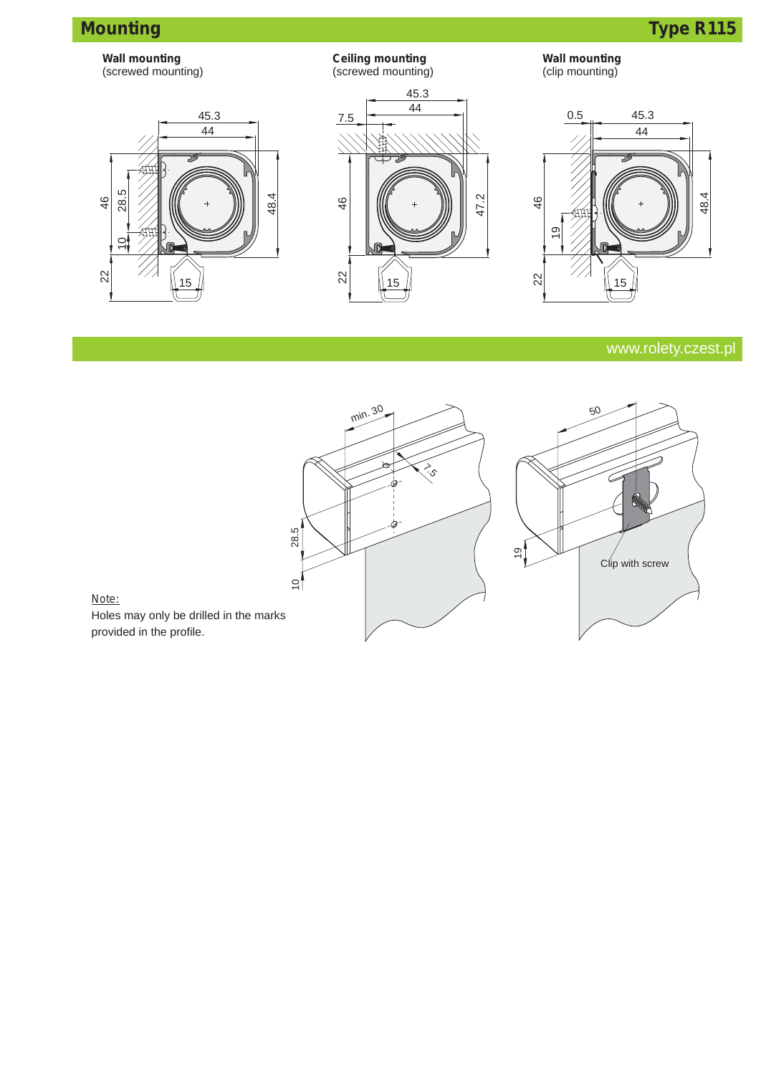# **Mounting Type R115**







**Ceiling mounting**



**Wall mounting** (clip mounting)

### www.rolety.czest.pl



#### *Note:*

Holes may only be drilled in the marks provided in the profile.